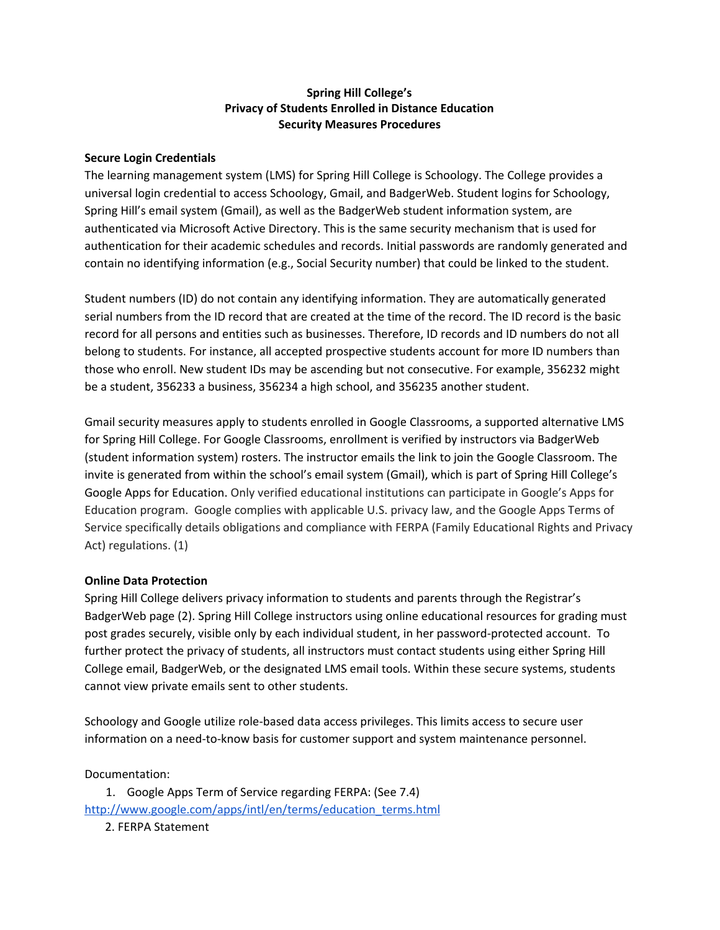## **Spring Hill College's Privacy of Students Enrolled in Distance Education Security Measures Procedures**

## **Secure Login Credentials**

The learning management system (LMS) for Spring Hill College is Schoology. The College provides a universal login credential to access Schoology, Gmail, and BadgerWeb. Student logins for Schoology, Spring Hill's email system (Gmail), as well as the BadgerWeb student information system, are authenticated via Microsoft Active Directory. This is the same security mechanism that is used for authentication for their academic schedules and records. Initial passwords are randomly generated and contain no identifying information (e.g., Social Security number) that could be linked to the student.

Student numbers (ID) do not contain any identifying information. They are automatically generated serial numbers from the ID record that are created at the time of the record. The ID record is the basic record for all persons and entities such as businesses. Therefore, ID records and ID numbers do not all belong to students. For instance, all accepted prospective students account for more ID numbers than those who enroll. New student IDs may be ascending but not consecutive. For example, 356232 might be a student, 356233 a business, 356234 a high school, and 356235 another student.

Gmail security measures apply to students enrolled in Google Classrooms, a supported alternative LMS for Spring Hill College. For Google Classrooms, enrollment is verified by instructors via BadgerWeb (student information system) rosters. The instructor emails the link to join the Google Classroom. The invite is generated from within the school's email system (Gmail), which is part of Spring Hill College's Google Apps for Education. Only verified educational institutions can participate in Google's Apps for Education program. Google complies with applicable U.S. privacy law, and the Google Apps Terms of Service specifically details obligations and compliance with FERPA (Family Educational Rights and Privacy Act) regulations. (1)

## **Online Data Protection**

Spring Hill College delivers privacy information to students and parents through the Registrar's BadgerWeb page (2). Spring Hill College instructors using online educational resources for grading must post grades securely, visible only by each individual student, in her password-protected account. To further protect the privacy of students, all instructors must contact students using either Spring Hill College email, BadgerWeb, or the designated LMS email tools. Within these secure systems, students cannot view private emails sent to other students.

Schoology and Google utilize role-based data access privileges. This limits access to secure user information on a need-to-know basis for customer support and system maintenance personnel.

Documentation:

1. Google Apps Term of Service regarding FERPA: (See 7.4) [http://www.google.com/apps/intl/en/terms/education\\_terms.html](http://www.google.com/apps/intl/en/terms/education_terms.html) 2. FERPA Statement